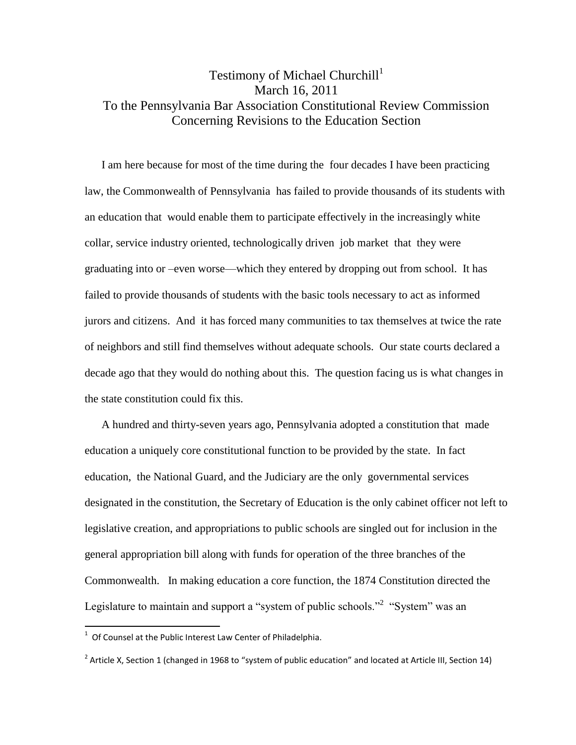## Testimony of Michael Churchill<sup>1</sup> March 16, 2011 To the Pennsylvania Bar Association Constitutional Review Commission Concerning Revisions to the Education Section

I am here because for most of the time during the four decades I have been practicing law, the Commonwealth of Pennsylvania has failed to provide thousands of its students with an education that would enable them to participate effectively in the increasingly white collar, service industry oriented, technologically driven job market that they were graduating into or –even worse—which they entered by dropping out from school. It has failed to provide thousands of students with the basic tools necessary to act as informed jurors and citizens. And it has forced many communities to tax themselves at twice the rate of neighbors and still find themselves without adequate schools. Our state courts declared a decade ago that they would do nothing about this. The question facing us is what changes in the state constitution could fix this.

A hundred and thirty-seven years ago, Pennsylvania adopted a constitution that made education a uniquely core constitutional function to be provided by the state. In fact education, the National Guard, and the Judiciary are the only governmental services designated in the constitution, the Secretary of Education is the only cabinet officer not left to legislative creation, and appropriations to public schools are singled out for inclusion in the general appropriation bill along with funds for operation of the three branches of the Commonwealth. In making education a core function, the 1874 Constitution directed the Legislature to maintain and support a "system of public schools."<sup>2</sup> "System" was an

 1 Of Counsel at the Public Interest Law Center of Philadelphia.

<sup>&</sup>lt;sup>2</sup> Article X, Section 1 (changed in 1968 to "system of public education" and located at Article III, Section 14)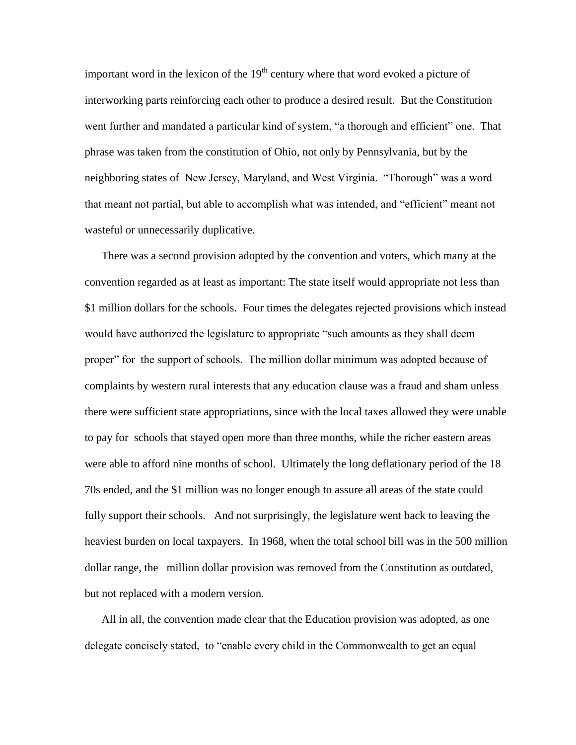important word in the lexicon of the  $19<sup>th</sup>$  century where that word evoked a picture of interworking parts reinforcing each other to produce a desired result. But the Constitution went further and mandated a particular kind of system, "a thorough and efficient" one. That phrase was taken from the constitution of Ohio, not only by Pennsylvania, but by the neighboring states of New Jersey, Maryland, and West Virginia. "Thorough" was a word that meant not partial, but able to accomplish what was intended, and "efficient" meant not wasteful or unnecessarily duplicative.

There was a second provision adopted by the convention and voters, which many at the convention regarded as at least as important: The state itself would appropriate not less than \$1 million dollars for the schools. Four times the delegates rejected provisions which instead would have authorized the legislature to appropriate "such amounts as they shall deem proper" for the support of schools. The million dollar minimum was adopted because of complaints by western rural interests that any education clause was a fraud and sham unless there were sufficient state appropriations, since with the local taxes allowed they were unable to pay for schools that stayed open more than three months, while the richer eastern areas were able to afford nine months of school. Ultimately the long deflationary period of the 18 70s ended, and the \$1 million was no longer enough to assure all areas of the state could fully support their schools. And not surprisingly, the legislature went back to leaving the heaviest burden on local taxpayers. In 1968, when the total school bill was in the 500 million dollar range, the million dollar provision was removed from the Constitution as outdated, but not replaced with a modern version.

All in all, the convention made clear that the Education provision was adopted, as one delegate concisely stated, to "enable every child in the Commonwealth to get an equal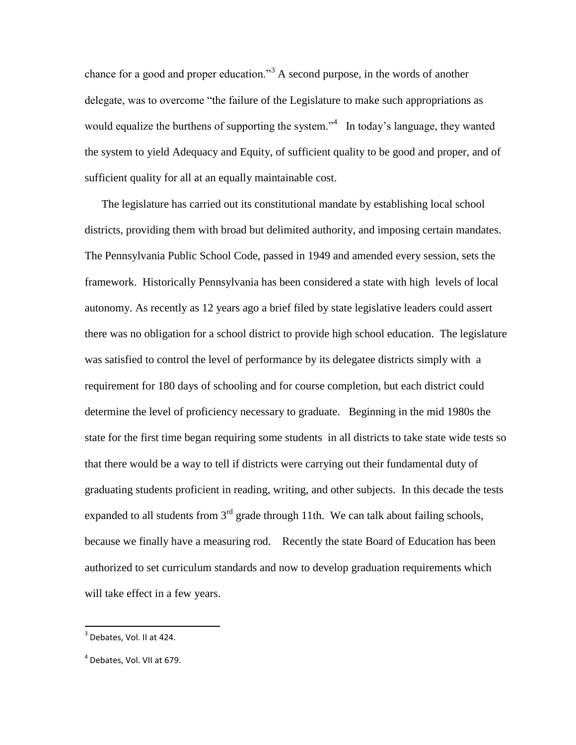chance for a good and proper education.<sup>33</sup> A second purpose, in the words of another delegate, was to overcome "the failure of the Legislature to make such appropriations as would equalize the burthens of supporting the system."<sup>4</sup> In today's language, they wanted the system to yield Adequacy and Equity, of sufficient quality to be good and proper, and of sufficient quality for all at an equally maintainable cost.

The legislature has carried out its constitutional mandate by establishing local school districts, providing them with broad but delimited authority, and imposing certain mandates. The Pennsylvania Public School Code, passed in 1949 and amended every session, sets the framework. Historically Pennsylvania has been considered a state with high levels of local autonomy. As recently as 12 years ago a brief filed by state legislative leaders could assert there was no obligation for a school district to provide high school education. The legislature was satisfied to control the level of performance by its delegatee districts simply with a requirement for 180 days of schooling and for course completion, but each district could determine the level of proficiency necessary to graduate. Beginning in the mid 1980s the state for the first time began requiring some students in all districts to take state wide tests so that there would be a way to tell if districts were carrying out their fundamental duty of graduating students proficient in reading, writing, and other subjects. In this decade the tests expanded to all students from  $3<sup>rd</sup>$  grade through 11th. We can talk about failing schools, because we finally have a measuring rod. Recently the state Board of Education has been authorized to set curriculum standards and now to develop graduation requirements which will take effect in a few years.

 3 Debates, Vol. II at 424.

<sup>4</sup> Debates, Vol. VII at 679.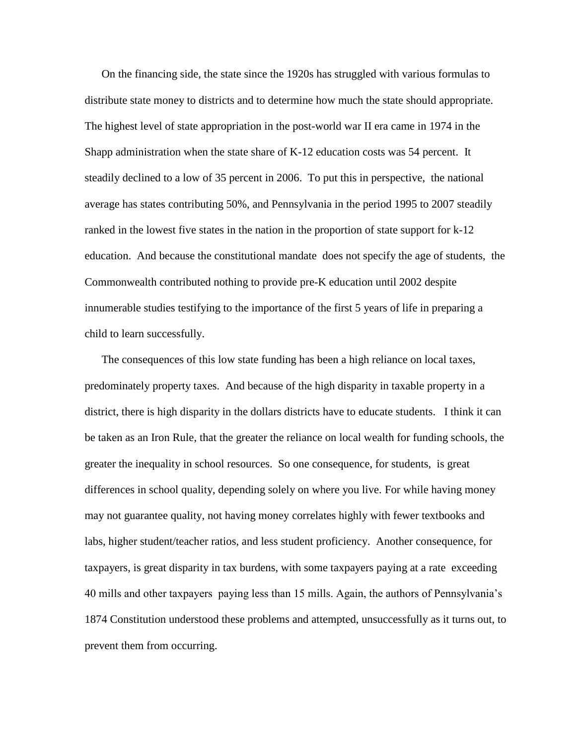On the financing side, the state since the 1920s has struggled with various formulas to distribute state money to districts and to determine how much the state should appropriate. The highest level of state appropriation in the post-world war II era came in 1974 in the Shapp administration when the state share of K-12 education costs was 54 percent. It steadily declined to a low of 35 percent in 2006. To put this in perspective, the national average has states contributing 50%, and Pennsylvania in the period 1995 to 2007 steadily ranked in the lowest five states in the nation in the proportion of state support for k-12 education. And because the constitutional mandate does not specify the age of students, the Commonwealth contributed nothing to provide pre-K education until 2002 despite innumerable studies testifying to the importance of the first 5 years of life in preparing a child to learn successfully.

The consequences of this low state funding has been a high reliance on local taxes, predominately property taxes. And because of the high disparity in taxable property in a district, there is high disparity in the dollars districts have to educate students. I think it can be taken as an Iron Rule, that the greater the reliance on local wealth for funding schools, the greater the inequality in school resources. So one consequence, for students, is great differences in school quality, depending solely on where you live. For while having money may not guarantee quality, not having money correlates highly with fewer textbooks and labs, higher student/teacher ratios, and less student proficiency. Another consequence, for taxpayers, is great disparity in tax burdens, with some taxpayers paying at a rate exceeding 40 mills and other taxpayers paying less than 15 mills. Again, the authors of Pennsylvania's 1874 Constitution understood these problems and attempted, unsuccessfully as it turns out, to prevent them from occurring.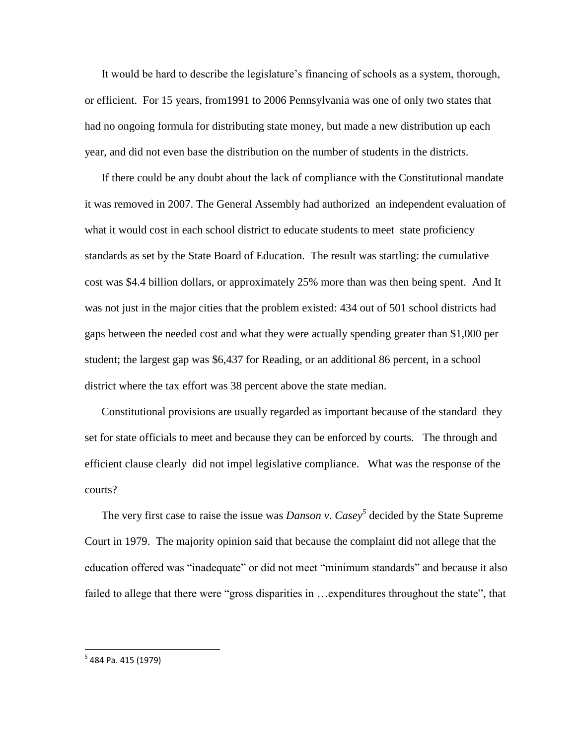It would be hard to describe the legislature's financing of schools as a system, thorough, or efficient. For 15 years, from1991 to 2006 Pennsylvania was one of only two states that had no ongoing formula for distributing state money, but made a new distribution up each year, and did not even base the distribution on the number of students in the districts.

If there could be any doubt about the lack of compliance with the Constitutional mandate it was removed in 2007. The General Assembly had authorized an independent evaluation of what it would cost in each school district to educate students to meet state proficiency standards as set by the State Board of Education. The result was startling: the cumulative cost was \$4.4 billion dollars, or approximately 25% more than was then being spent. And It was not just in the major cities that the problem existed: 434 out of 501 school districts had gaps between the needed cost and what they were actually spending greater than \$1,000 per student; the largest gap was \$6,437 for Reading, or an additional 86 percent, in a school district where the tax effort was 38 percent above the state median.

Constitutional provisions are usually regarded as important because of the standard they set for state officials to meet and because they can be enforced by courts. The through and efficient clause clearly did not impel legislative compliance. What was the response of the courts?

The very first case to raise the issue was *Danson v. Casey<sup>5</sup>* decided by the State Supreme Court in 1979. The majority opinion said that because the complaint did not allege that the education offered was "inadequate" or did not meet "minimum standards" and because it also failed to allege that there were "gross disparities in …expenditures throughout the state", that

<sup>&</sup>lt;u>.</u><br><sup>5</sup> 484 Pa. 415 (1979)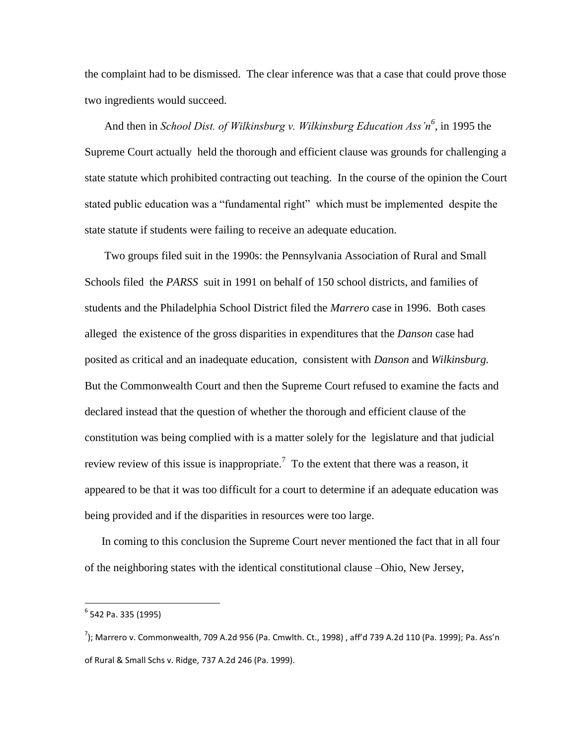the complaint had to be dismissed. The clear inference was that a case that could prove those two ingredients would succeed.

And then in *School Dist. of Wilkinsburg v. Wilkinsburg Education Ass'n<sup>6</sup>* , in 1995 the Supreme Court actually held the thorough and efficient clause was grounds for challenging a state statute which prohibited contracting out teaching. In the course of the opinion the Court stated public education was a "fundamental right" which must be implemented despite the state statute if students were failing to receive an adequate education.

Two groups filed suit in the 1990s: the Pennsylvania Association of Rural and Small Schools filed the *PARSS* suit in 1991 on behalf of 150 school districts, and families of students and the Philadelphia School District filed the *Marrero* case in 1996. Both cases alleged the existence of the gross disparities in expenditures that the *Danson* case had posited as critical and an inadequate education, consistent with *Danson* and *Wilkinsburg.* But the Commonwealth Court and then the Supreme Court refused to examine the facts and declared instead that the question of whether the thorough and efficient clause of the constitution was being complied with is a matter solely for the legislature and that judicial review review of this issue is inappropriate.<sup>7</sup> To the extent that there was a reason, it appeared to be that it was too difficult for a court to determine if an adequate education was being provided and if the disparities in resources were too large.

In coming to this conclusion the Supreme Court never mentioned the fact that in all four of the neighboring states with the identical constitutional clause –Ohio, New Jersey,

 $\overline{a}$ 

<sup>&</sup>lt;sup>6</sup> 542 Pa. 335 (1995)

 $^{7}$ ); Marrero v. Commonwealth, 709 A.2d 956 (Pa. Cmwlth. Ct., 1998) , aff'd 739 A.2d 110 (Pa. 1999); Pa. Ass'n of Rural & Small Schs v. Ridge, 737 A.2d 246 (Pa. 1999).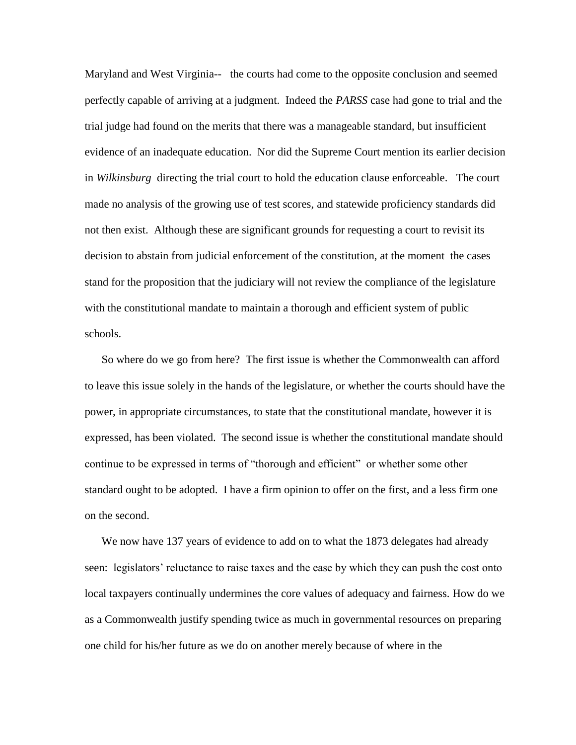Maryland and West Virginia-- the courts had come to the opposite conclusion and seemed perfectly capable of arriving at a judgment. Indeed the *PARSS* case had gone to trial and the trial judge had found on the merits that there was a manageable standard, but insufficient evidence of an inadequate education. Nor did the Supreme Court mention its earlier decision in *Wilkinsburg* directing the trial court to hold the education clause enforceable. The court made no analysis of the growing use of test scores, and statewide proficiency standards did not then exist. Although these are significant grounds for requesting a court to revisit its decision to abstain from judicial enforcement of the constitution, at the moment the cases stand for the proposition that the judiciary will not review the compliance of the legislature with the constitutional mandate to maintain a thorough and efficient system of public schools.

So where do we go from here? The first issue is whether the Commonwealth can afford to leave this issue solely in the hands of the legislature, or whether the courts should have the power, in appropriate circumstances, to state that the constitutional mandate, however it is expressed, has been violated. The second issue is whether the constitutional mandate should continue to be expressed in terms of "thorough and efficient" or whether some other standard ought to be adopted. I have a firm opinion to offer on the first, and a less firm one on the second.

We now have 137 years of evidence to add on to what the 1873 delegates had already seen: legislators' reluctance to raise taxes and the ease by which they can push the cost onto local taxpayers continually undermines the core values of adequacy and fairness. How do we as a Commonwealth justify spending twice as much in governmental resources on preparing one child for his/her future as we do on another merely because of where in the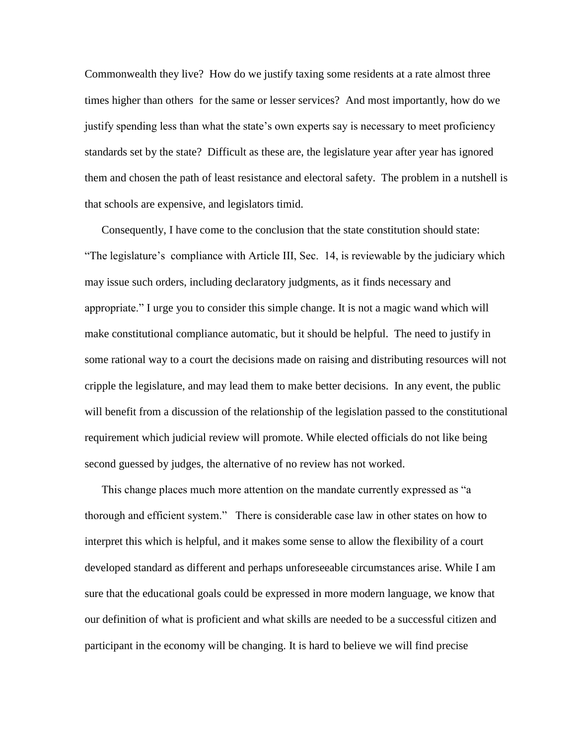Commonwealth they live? How do we justify taxing some residents at a rate almost three times higher than others for the same or lesser services? And most importantly, how do we justify spending less than what the state's own experts say is necessary to meet proficiency standards set by the state? Difficult as these are, the legislature year after year has ignored them and chosen the path of least resistance and electoral safety. The problem in a nutshell is that schools are expensive, and legislators timid.

Consequently, I have come to the conclusion that the state constitution should state: "The legislature's compliance with Article III, Sec. 14, is reviewable by the judiciary which may issue such orders, including declaratory judgments, as it finds necessary and appropriate.‖ I urge you to consider this simple change. It is not a magic wand which will make constitutional compliance automatic, but it should be helpful. The need to justify in some rational way to a court the decisions made on raising and distributing resources will not cripple the legislature, and may lead them to make better decisions. In any event, the public will benefit from a discussion of the relationship of the legislation passed to the constitutional requirement which judicial review will promote. While elected officials do not like being second guessed by judges, the alternative of no review has not worked.

This change places much more attention on the mandate currently expressed as "a thorough and efficient system.‖ There is considerable case law in other states on how to interpret this which is helpful, and it makes some sense to allow the flexibility of a court developed standard as different and perhaps unforeseeable circumstances arise. While I am sure that the educational goals could be expressed in more modern language, we know that our definition of what is proficient and what skills are needed to be a successful citizen and participant in the economy will be changing. It is hard to believe we will find precise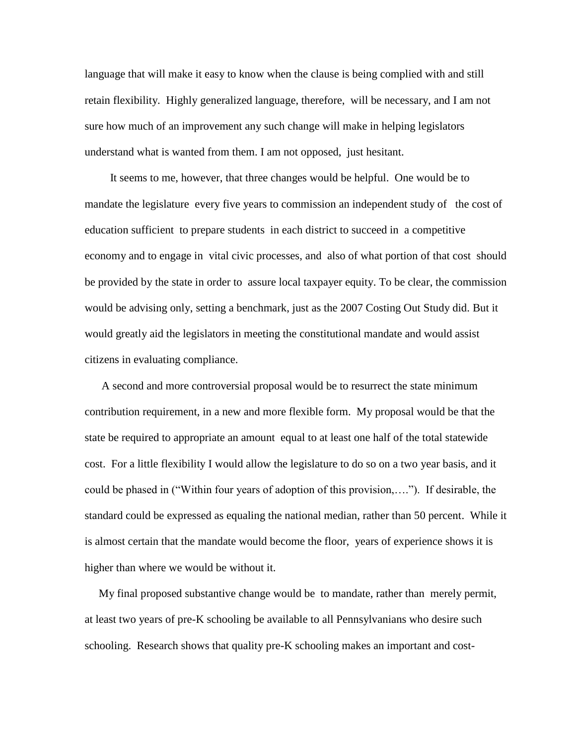language that will make it easy to know when the clause is being complied with and still retain flexibility. Highly generalized language, therefore, will be necessary, and I am not sure how much of an improvement any such change will make in helping legislators understand what is wanted from them. I am not opposed, just hesitant.

 It seems to me, however, that three changes would be helpful. One would be to mandate the legislature every five years to commission an independent study of the cost of education sufficient to prepare students in each district to succeed in a competitive economy and to engage in vital civic processes, and also of what portion of that cost should be provided by the state in order to assure local taxpayer equity. To be clear, the commission would be advising only, setting a benchmark, just as the 2007 Costing Out Study did. But it would greatly aid the legislators in meeting the constitutional mandate and would assist citizens in evaluating compliance.

A second and more controversial proposal would be to resurrect the state minimum contribution requirement, in a new and more flexible form. My proposal would be that the state be required to appropriate an amount equal to at least one half of the total statewide cost. For a little flexibility I would allow the legislature to do so on a two year basis, and it could be phased in ("Within four years of adoption of this provision,...."). If desirable, the standard could be expressed as equaling the national median, rather than 50 percent. While it is almost certain that the mandate would become the floor, years of experience shows it is higher than where we would be without it.

 My final proposed substantive change would be to mandate, rather than merely permit, at least two years of pre-K schooling be available to all Pennsylvanians who desire such schooling. Research shows that quality pre-K schooling makes an important and cost